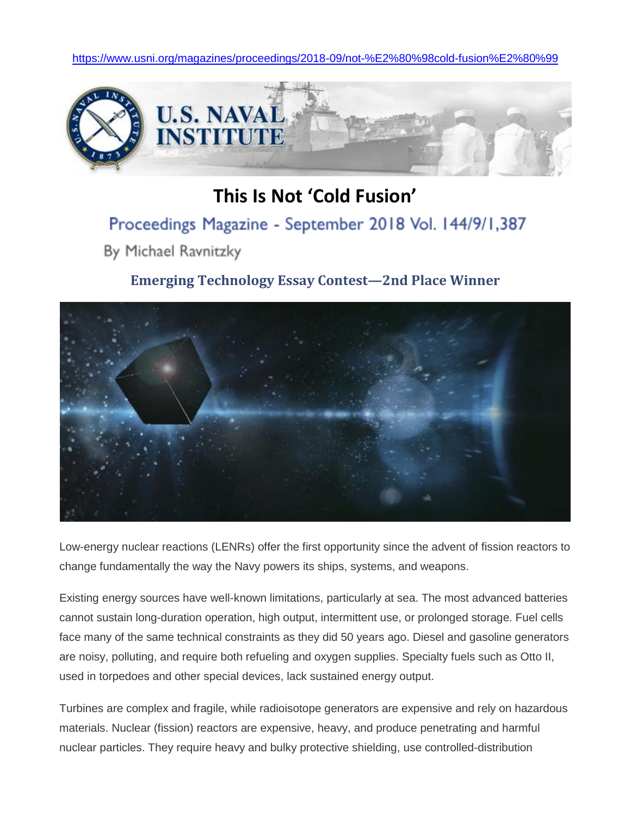https://www.usni.org/magazines/proceedings/2018-09/not-%E2%80%98cold-fusion%E2%80%99



# **This Is Not 'Cold Fusion'**

## Proceedings Magazine - September 2018 Vol. 144/9/1,387

By Michael Ravnitzky

### **Emerging Technology Essay Contest—2nd Place Winner**



Low-energy nuclear reactions (LENRs) offer the first opportunity since the advent of fission reactors to change fundamentally the way the Navy powers its ships, systems, and weapons.

Existing energy sources have well-known limitations, particularly at sea. The most advanced batteries cannot sustain long-duration operation, high output, intermittent use, or prolonged storage. Fuel cells face many of the same technical constraints as they did 50 years ago. Diesel and gasoline generators are noisy, polluting, and require both refueling and oxygen supplies. Specialty fuels such as Otto II, used in torpedoes and other special devices, lack sustained energy output.

Turbines are complex and fragile, while radioisotope generators are expensive and rely on hazardous materials. Nuclear (fission) reactors are expensive, heavy, and produce penetrating and harmful nuclear particles. They require heavy and bulky protective shielding, use controlled-distribution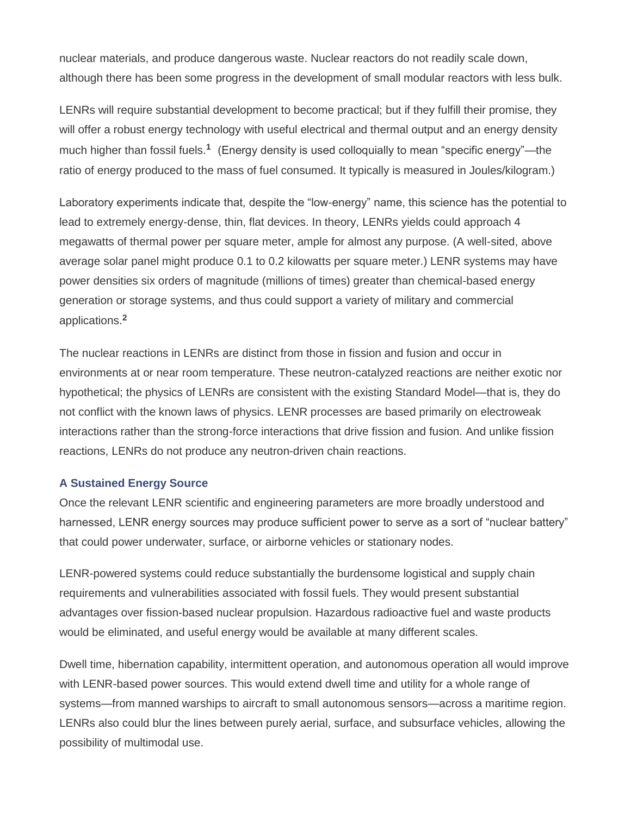nuclear materials, and produce dangerous waste. Nuclear reactors do not readily scale down, although there has been some progress in the development of small modular reactors with less bulk.

LENRs will require substantial development to become practical; but if they fulfill their promise, they will offer a robust energy technology with useful electrical and thermal output and an energy density much higher than fossil fuels.**<sup>1</sup>** (Energy density is used colloquially to mean "specific energy"—the ratio of energy produced to the mass of fuel consumed. It typically is measured in Joules/kilogram.)

Laboratory experiments indicate that, despite the "low-energy" name, this science has the potential to lead to extremely energy-dense, thin, flat devices. In theory, LENRs yields could approach 4 megawatts of thermal power per square meter, ample for almost any purpose. (A well-sited, above average solar panel might produce 0.1 to 0.2 kilowatts per square meter.) LENR systems may have power densities six orders of magnitude (millions of times) greater than chemical-based energy generation or storage systems, and thus could support a variety of military and commercial applications. **2**

The nuclear reactions in LENRs are distinct from those in fission and fusion and occur in environments at or near room temperature. These neutron-catalyzed reactions are neither exotic nor hypothetical; the physics of LENRs are consistent with the existing Standard Model—that is, they do not conflict with the known laws of physics. LENR processes are based primarily on electroweak interactions rather than the strong-force interactions that drive fission and fusion. And unlike fission reactions, LENRs do not produce any neutron-driven chain reactions.

#### **A Sustained Energy Source**

Once the relevant LENR scientific and engineering parameters are more broadly understood and harnessed, LENR energy sources may produce sufficient power to serve as a sort of "nuclear battery" that could power underwater, surface, or airborne vehicles or stationary nodes.

LENR-powered systems could reduce substantially the burdensome logistical and supply chain requirements and vulnerabilities associated with fossil fuels. They would present substantial advantages over fission-based nuclear propulsion. Hazardous radioactive fuel and waste products would be eliminated, and useful energy would be available at many different scales.

Dwell time, hibernation capability, intermittent operation, and autonomous operation all would improve with LENR-based power sources. This would extend dwell time and utility for a whole range of systems—from manned warships to aircraft to small autonomous sensors—across a maritime region. LENRs also could blur the lines between purely aerial, surface, and subsurface vehicles, allowing the possibility of multimodal use.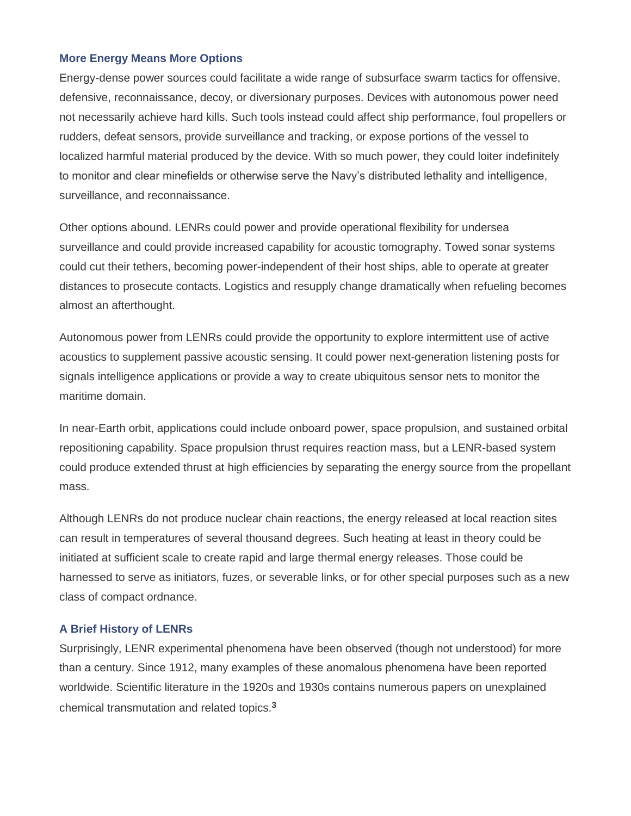#### **More Energy Means More Options**

Energy-dense power sources could facilitate a wide range of subsurface swarm tactics for offensive, defensive, reconnaissance, decoy, or diversionary purposes. Devices with autonomous power need not necessarily achieve hard kills. Such tools instead could affect ship performance, foul propellers or rudders, defeat sensors, provide surveillance and tracking, or expose portions of the vessel to localized harmful material produced by the device. With so much power, they could loiter indefinitely to monitor and clear minefields or otherwise serve the Navy's distributed lethality and intelligence, surveillance, and reconnaissance.

Other options abound. LENRs could power and provide operational flexibility for undersea surveillance and could provide increased capability for acoustic tomography. Towed sonar systems could cut their tethers, becoming power-independent of their host ships, able to operate at greater distances to prosecute contacts. Logistics and resupply change dramatically when refueling becomes almost an afterthought.

Autonomous power from LENRs could provide the opportunity to explore intermittent use of active acoustics to supplement passive acoustic sensing. It could power next-generation listening posts for signals intelligence applications or provide a way to create ubiquitous sensor nets to monitor the maritime domain.

In near-Earth orbit, applications could include onboard power, space propulsion, and sustained orbital repositioning capability. Space propulsion thrust requires reaction mass, but a LENR-based system could produce extended thrust at high efficiencies by separating the energy source from the propellant mass.

Although LENRs do not produce nuclear chain reactions, the energy released at local reaction sites can result in temperatures of several thousand degrees. Such heating at least in theory could be initiated at sufficient scale to create rapid and large thermal energy releases. Those could be harnessed to serve as initiators, fuzes, or severable links, or for other special purposes such as a new class of compact ordnance.

#### **A Brief History of LENRs**

Surprisingly, LENR experimental phenomena have been observed (though not understood) for more than a century. Since 1912, many examples of these anomalous phenomena have been reported worldwide. Scientific literature in the 1920s and 1930s contains numerous papers on unexplained chemical transmutation and related topics.**<sup>3</sup>**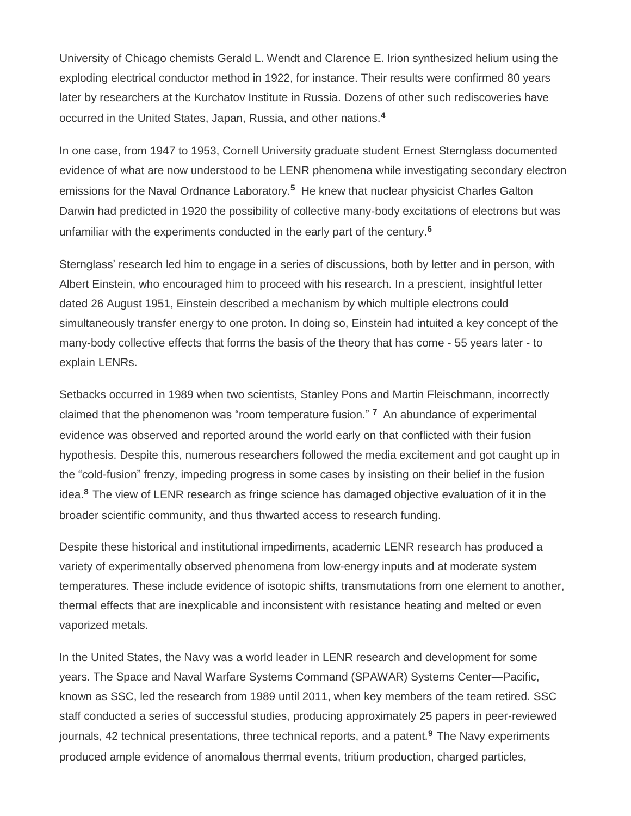University of Chicago chemists Gerald L. Wendt and Clarence E. Irion synthesized helium using the exploding electrical conductor method in 1922, for instance. Their results were confirmed 80 years later by researchers at the Kurchatov Institute in Russia. Dozens of other such rediscoveries have occurred in the United States, Japan, Russia, and other nations.**<sup>4</sup>**

In one case, from 1947 to 1953, Cornell University graduate student Ernest Sternglass documented evidence of what are now understood to be LENR phenomena while investigating secondary electron emissions for the Naval Ordnance Laboratory.**<sup>5</sup>** He knew that nuclear physicist Charles Galton Darwin had predicted in 1920 the possibility of collective many-body excitations of electrons but was unfamiliar with the experiments conducted in the early part of the century.**<sup>6</sup>**

Sternglass' research led him to engage in a series of discussions, both by letter and in person, with Albert Einstein, who encouraged him to proceed with his research. In a prescient, insightful letter dated 26 August 1951, Einstein described a mechanism by which multiple electrons could simultaneously transfer energy to one proton. In doing so, Einstein had intuited a key concept of the many-body collective effects that forms the basis of the theory that has come - 55 years later - to explain LENRs.

Setbacks occurred in 1989 when two scientists, Stanley Pons and Martin Fleischmann, incorrectly claimed that the phenomenon was "room temperature fusion." **<sup>7</sup>** An abundance of experimental evidence was observed and reported around the world early on that conflicted with their fusion hypothesis. Despite this, numerous researchers followed the media excitement and got caught up in the "cold-fusion" frenzy, impeding progress in some cases by insisting on their belief in the fusion idea.**<sup>8</sup>** The view of LENR research as fringe science has damaged objective evaluation of it in the broader scientific community, and thus thwarted access to research funding.

Despite these historical and institutional impediments, academic LENR research has produced a variety of experimentally observed phenomena from low-energy inputs and at moderate system temperatures. These include evidence of isotopic shifts, transmutations from one element to another, thermal effects that are inexplicable and inconsistent with resistance heating and melted or even vaporized metals.

In the United States, the Navy was a world leader in LENR research and development for some years. The Space and Naval Warfare Systems Command (SPAWAR) Systems Center—Pacific, known as SSC, led the research from 1989 until 2011, when key members of the team retired. SSC staff conducted a series of successful studies, producing approximately 25 papers in peer-reviewed journals, 42 technical presentations, three technical reports, and a patent.**<sup>9</sup>** The Navy experiments produced ample evidence of anomalous thermal events, tritium production, charged particles,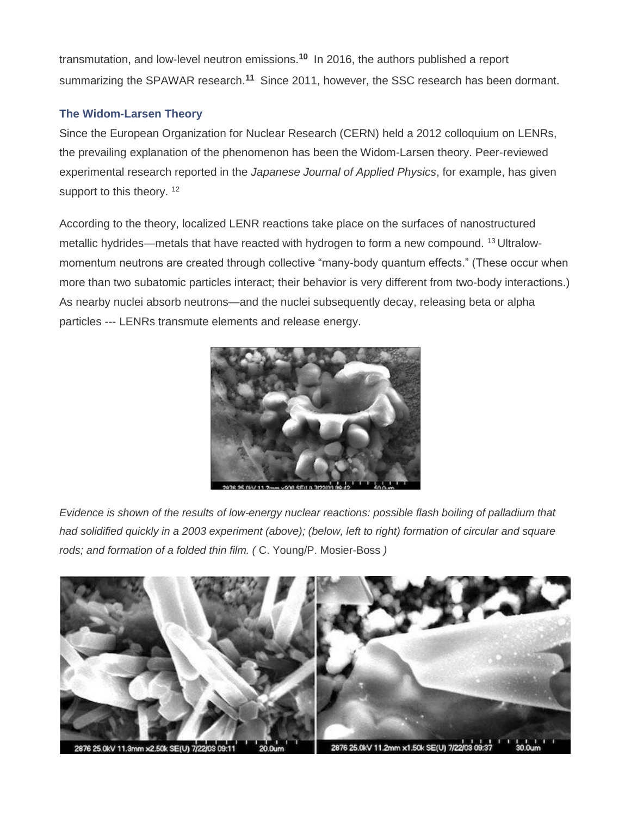transmutation, and low-level neutron emissions.**<sup>10</sup>** In 2016, the authors published a report summarizing the SPAWAR research.**<sup>11</sup>** Since 2011, however, the SSC research has been dormant.

### **The Widom-Larsen Theory**

Since the European Organization for Nuclear Research (CERN) held a 2012 colloquium on LENRs, the prevailing explanation of the phenomenon has been the Widom-Larsen theory. Peer-reviewed experimental research reported in the *Japanese Journal of Applied Physics*, for example, has given support to this theory. <sup>12</sup>

According to the theory, localized LENR reactions take place on the surfaces of nanostructured metallic hydrides—metals that have reacted with hydrogen to form a new compound. <sup>13</sup> Ultralowmomentum neutrons are created through collective "many-body quantum effects." (These occur when more than two subatomic particles interact; their behavior is very different from two-body interactions.) As nearby nuclei absorb neutrons—and the nuclei subsequently decay, releasing beta or alpha particles --- LENRs transmute elements and release energy.



*Evidence is shown of the results of low-energy nuclear reactions: possible flash boiling of palladium that* had solidified quickly in a 2003 experiment (above); (below, left to right) formation of circular and square *rods; and formation of a folded thin film. (* C. Young/P. Mosier-Boss *)*

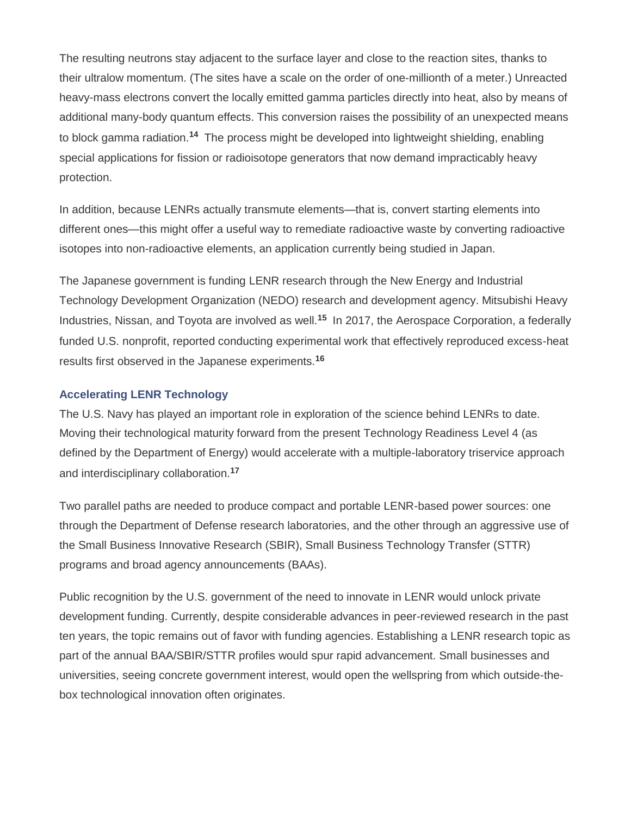The resulting neutrons stay adjacent to the surface layer and close to the reaction sites, thanks to their ultralow momentum. (The sites have a scale on the order of one-millionth of a meter.) Unreacted heavy-mass electrons convert the locally emitted gamma particles directly into heat, also by means of additional many-body quantum effects. This conversion raises the possibility of an unexpected means to block gamma radiation.**<sup>14</sup>** The process might be developed into lightweight shielding, enabling special applications for fission or radioisotope generators that now demand impracticably heavy protection.

In addition, because LENRs actually transmute elements—that is, convert starting elements into different ones—this might offer a useful way to remediate radioactive waste by converting radioactive isotopes into non-radioactive elements, an application currently being studied in Japan.

The Japanese government is funding LENR research through the New Energy and Industrial Technology Development Organization (NEDO) research and development agency. Mitsubishi Heavy Industries, Nissan, and Toyota are involved as well.**<sup>15</sup>** In 2017, the Aerospace Corporation, a federally funded U.S. nonprofit, reported conducting experimental work that effectively reproduced excess-heat results first observed in the Japanese experiments.**<sup>16</sup>**

#### **Accelerating LENR Technology**

The U.S. Navy has played an important role in exploration of the science behind LENRs to date. Moving their technological maturity forward from the present Technology Readiness Level 4 (as defined by the Department of Energy) would accelerate with a multiple-laboratory triservice approach and interdisciplinary collaboration.**<sup>17</sup>**

Two parallel paths are needed to produce compact and portable LENR-based power sources: one through the Department of Defense research laboratories, and the other through an aggressive use of the Small Business Innovative Research (SBIR), Small Business Technology Transfer (STTR) programs and broad agency announcements (BAAs).

Public recognition by the U.S. government of the need to innovate in LENR would unlock private development funding. Currently, despite considerable advances in peer-reviewed research in the past ten years, the topic remains out of favor with funding agencies. Establishing a LENR research topic as part of the annual BAA/SBIR/STTR profiles would spur rapid advancement. Small businesses and universities, seeing concrete government interest, would open the wellspring from which outside-thebox technological innovation often originates.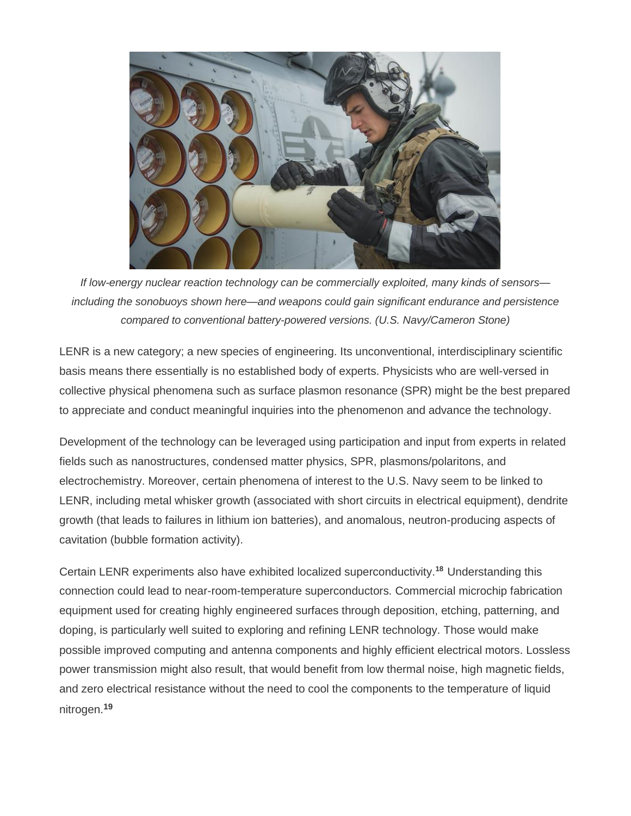

*If low-energy nuclear reaction technology can be commercially exploited, many kinds of sensors including the sonobuoys shown here—and weapons could gain significant endurance and persistence compared to conventional battery-powered versions. (U.S. Navy/Cameron Stone)*

LENR is a new category; a new species of engineering. Its unconventional, interdisciplinary scientific basis means there essentially is no established body of experts. Physicists who are well-versed in collective physical phenomena such as surface plasmon resonance (SPR) might be the best prepared to appreciate and conduct meaningful inquiries into the phenomenon and advance the technology.

Development of the technology can be leveraged using participation and input from experts in related fields such as nanostructures, condensed matter physics, SPR, plasmons/polaritons, and electrochemistry. Moreover, certain phenomena of interest to the U.S. Navy seem to be linked to LENR, including metal whisker growth (associated with short circuits in electrical equipment), dendrite growth (that leads to failures in lithium ion batteries), and anomalous, neutron-producing aspects of cavitation (bubble formation activity).

Certain LENR experiments also have exhibited localized superconductivity.**<sup>18</sup>** Understanding this connection could lead to near-room-temperature superconductors. Commercial microchip fabrication equipment used for creating highly engineered surfaces through deposition, etching, patterning, and doping, is particularly well suited to exploring and refining LENR technology. Those would make possible improved computing and antenna components and highly efficient electrical motors. Lossless power transmission might also result, that would benefit from low thermal noise, high magnetic fields, and zero electrical resistance without the need to cool the components to the temperature of liquid nitrogen.**<sup>19</sup>**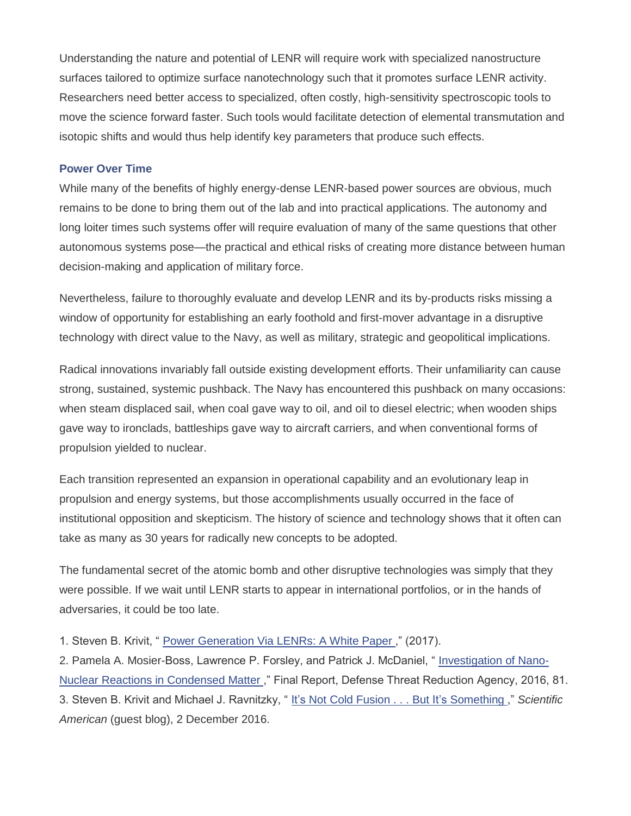Understanding the nature and potential of LENR will require work with specialized nanostructure surfaces tailored to optimize surface nanotechnology such that it promotes surface LENR activity. Researchers need better access to specialized, often costly, high-sensitivity spectroscopic tools to move the science forward faster. Such tools would facilitate detection of elemental transmutation and isotopic shifts and would thus help identify key parameters that produce such effects.

#### **Power Over Time**

While many of the benefits of highly energy-dense LENR-based power sources are obvious, much remains to be done to bring them out of the lab and into practical applications. The autonomy and long loiter times such systems offer will require evaluation of many of the same questions that other autonomous systems pose—the practical and ethical risks of creating more distance between human decision-making and application of military force.

Nevertheless, failure to thoroughly evaluate and develop LENR and its by-products risks missing a window of opportunity for establishing an early foothold and first-mover advantage in a disruptive technology with direct value to the Navy, as well as military, strategic and geopolitical implications.

Radical innovations invariably fall outside existing development efforts. Their unfamiliarity can cause strong, sustained, systemic pushback. The Navy has encountered this pushback on many occasions: when steam displaced sail, when coal gave way to oil, and oil to diesel electric; when wooden ships gave way to ironclads, battleships gave way to aircraft carriers, and when conventional forms of propulsion yielded to nuclear.

Each transition represented an expansion in operational capability and an evolutionary leap in propulsion and energy systems, but those accomplishments usually occurred in the face of institutional opposition and skepticism. The history of science and technology shows that it often can take as many as 30 years for radically new concepts to be adopted.

The fundamental secret of the atomic bomb and other disruptive technologies was simply that they were possible. If we wait until LENR starts to appear in international portfolios, or in the hands of adversaries, it could be too late.

#### 1. Steven B. Krivit, " Power Generation Via LENRs: A White Paper ," (2017).

2. Pamela A. Mosier-Boss, Lawrence P. Forsley, and Patrick J. McDaniel, " Investigation of Nano-Nuclear Reactions in Condensed Matter ," Final Report, Defense Threat Reduction Agency, 2016, 81. 3. Steven B. Krivit and Michael J. Ravnitzky, " It's Not Cold Fusion . . . But It's Something ," *Scientific American* (guest blog), 2 December 2016.